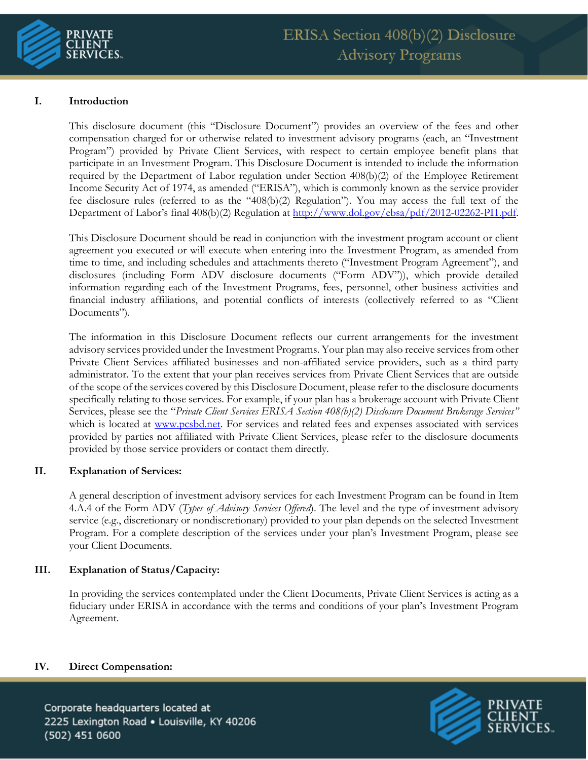

# **I. Introduction**

This disclosure document (this "Disclosure Document") provides an overview of the fees and other compensation charged for or otherwise related to investment advisory programs (each, an "Investment Program") provided by Private Client Services, with respect to certain employee benefit plans that participate in an Investment Program. This Disclosure Document is intended to include the information required by the Department of Labor regulation under Section 408(b)(2) of the Employee Retirement Income Security Act of 1974, as amended ("ERISA"), which is commonly known as the service provider fee disclosure rules (referred to as the "408(b)(2) Regulation"). You may access the full text of the Department of Labor's final 408(b)(2) Regulation at [http://www.dol.gov/ebsa/pdf/2012-02262-PI1.pdf.](http://www.dol.gov/ebsa/pdf/2012-02262-PI1.pdf)

This Disclosure Document should be read in conjunction with the investment program account or client agreement you executed or will execute when entering into the Investment Program, as amended from time to time, and including schedules and attachments thereto ("Investment Program Agreement"), and disclosures (including Form ADV disclosure documents ("Form ADV")), which provide detailed information regarding each of the Investment Programs, fees, personnel, other business activities and financial industry affiliations, and potential conflicts of interests (collectively referred to as "Client Documents").

The information in this Disclosure Document reflects our current arrangements for the investment advisory services provided under the Investment Programs. Your plan may also receive services from other Private Client Services affiliated businesses and non-affiliated service providers, such as a third party administrator. To the extent that your plan receives services from Private Client Services that are outside of the scope of the services covered by this Disclosure Document, please refer to the disclosure documents specifically relating to those services. For example, if your plan has a brokerage account with Private Client Services, please see the "*Private Client Services ERISA Section 408(b)(2) Disclosure Document Brokerage Services"*  which is located at [www.pcsbd.net.](http://www.pcsbd.net/) For services and related fees and expenses associated with services provided by parties not affiliated with Private Client Services, please refer to the disclosure documents provided by those service providers or contact them directly.

### **II. Explanation of Services:**

A general description of investment advisory services for each Investment Program can be found in Item 4.A.4 of the Form ADV (*Types of Advisory Services Offered*). The level and the type of investment advisory service (e.g., discretionary or nondiscretionary) provided to your plan depends on the selected Investment Program. For a complete description of the services under your plan's Investment Program, please see your Client Documents.

### **III. Explanation of Status/Capacity:**

In providing the services contemplated under the Client Documents, Private Client Services is acting as a fiduciary under ERISA in accordance with the terms and conditions of your plan's Investment Program Agreement.

### **IV. Direct Compensation:**

Corporate headquarters located at 2225 Lexington Road . Louisville, KY 40206 (502) 451 0600

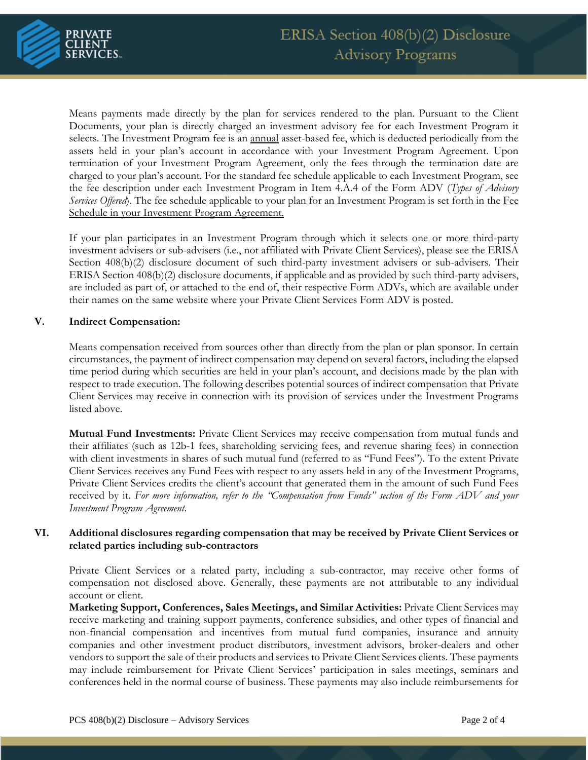

Means payments made directly by the plan for services rendered to the plan. Pursuant to the Client Documents, your plan is directly charged an investment advisory fee for each Investment Program it selects. The Investment Program fee is an annual asset-based fee, which is deducted periodically from the assets held in your plan's account in accordance with your Investment Program Agreement. Upon termination of your Investment Program Agreement, only the fees through the termination date are charged to your plan's account. For the standard fee schedule applicable to each Investment Program, see the fee description under each Investment Program in Item 4.A.4 of the Form ADV (*Types of Advisory Services Offered*). The fee schedule applicable to your plan for an Investment Program is set forth in the Fee Schedule in your Investment Program Agreement.

If your plan participates in an Investment Program through which it selects one or more third-party investment advisers or sub-advisers (i.e., not affiliated with Private Client Services), please see the ERISA Section 408(b)(2) disclosure document of such third-party investment advisers or sub-advisers. Their ERISA Section 408(b)(2) disclosure documents, if applicable and as provided by such third-party advisers, are included as part of, or attached to the end of, their respective Form ADVs, which are available under their names on the same website where your Private Client Services Form ADV is posted.

### **V. Indirect Compensation:**

Means compensation received from sources other than directly from the plan or plan sponsor. In certain circumstances, the payment of indirect compensation may depend on several factors, including the elapsed time period during which securities are held in your plan's account, and decisions made by the plan with respect to trade execution. The following describes potential sources of indirect compensation that Private Client Services may receive in connection with its provision of services under the Investment Programs listed above.

**Mutual Fund Investments:** Private Client Services may receive compensation from mutual funds and their affiliates (such as 12b-1 fees, shareholding servicing fees, and revenue sharing fees) in connection with client investments in shares of such mutual fund (referred to as "Fund Fees"). To the extent Private Client Services receives any Fund Fees with respect to any assets held in any of the Investment Programs, Private Client Services credits the client's account that generated them in the amount of such Fund Fees received by it. *For more information, refer to the "Compensation from Funds" section of the Form ADV and your Investment Program Agreement*.

## **VI. Additional disclosures regarding compensation that may be received by Private Client Services or related parties including sub-contractors**

Private Client Services or a related party, including a sub-contractor, may receive other forms of compensation not disclosed above. Generally, these payments are not attributable to any individual account or client.

**Marketing Support, Conferences, Sales Meetings, and Similar Activities:** Private Client Services may receive marketing and training support payments, conference subsidies, and other types of financial and non-financial compensation and incentives from mutual fund companies, insurance and annuity companies and other investment product distributors, investment advisors, broker-dealers and other vendors to support the sale of their products and services to Private Client Services clients. These payments may include reimbursement for Private Client Services' participation in sales meetings, seminars and conferences held in the normal course of business. These payments may also include reimbursements for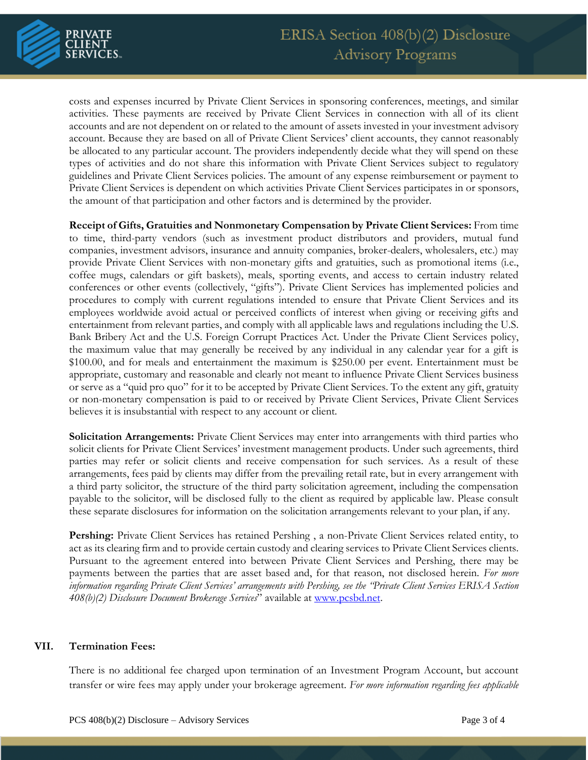

costs and expenses incurred by Private Client Services in sponsoring conferences, meetings, and similar activities. These payments are received by Private Client Services in connection with all of its client accounts and are not dependent on or related to the amount of assets invested in your investment advisory account. Because they are based on all of Private Client Services' client accounts, they cannot reasonably be allocated to any particular account. The providers independently decide what they will spend on these types of activities and do not share this information with Private Client Services subject to regulatory guidelines and Private Client Services policies. The amount of any expense reimbursement or payment to Private Client Services is dependent on which activities Private Client Services participates in or sponsors, the amount of that participation and other factors and is determined by the provider.

**Receipt of Gifts, Gratuities and Nonmonetary Compensation by Private Client Services:** From time to time, third-party vendors (such as investment product distributors and providers, mutual fund companies, investment advisors, insurance and annuity companies, broker-dealers, wholesalers, etc.) may provide Private Client Services with non-monetary gifts and gratuities, such as promotional items (i.e., coffee mugs, calendars or gift baskets), meals, sporting events, and access to certain industry related conferences or other events (collectively, "gifts"). Private Client Services has implemented policies and procedures to comply with current regulations intended to ensure that Private Client Services and its employees worldwide avoid actual or perceived conflicts of interest when giving or receiving gifts and entertainment from relevant parties, and comply with all applicable laws and regulations including the U.S. Bank Bribery Act and the U.S. Foreign Corrupt Practices Act. Under the Private Client Services policy, the maximum value that may generally be received by any individual in any calendar year for a gift is \$100.00, and for meals and entertainment the maximum is \$250.00 per event. Entertainment must be appropriate, customary and reasonable and clearly not meant to influence Private Client Services business or serve as a "quid pro quo" for it to be accepted by Private Client Services. To the extent any gift, gratuity or non-monetary compensation is paid to or received by Private Client Services, Private Client Services believes it is insubstantial with respect to any account or client*.* 

**Solicitation Arrangements:** Private Client Services may enter into arrangements with third parties who solicit clients for Private Client Services' investment management products. Under such agreements, third parties may refer or solicit clients and receive compensation for such services. As a result of these arrangements, fees paid by clients may differ from the prevailing retail rate, but in every arrangement with a third party solicitor, the structure of the third party solicitation agreement, including the compensation payable to the solicitor, will be disclosed fully to the client as required by applicable law. Please consult these separate disclosures for information on the solicitation arrangements relevant to your plan, if any.

**Pershing:** Private Client Services has retained Pershing , a non-Private Client Services related entity, to act as its clearing firm and to provide certain custody and clearing services to Private Client Services clients. Pursuant to the agreement entered into between Private Client Services and Pershing, there may be payments between the parties that are asset based and, for that reason, not disclosed herein. *For more information regarding Private Client Services' arrangements with Pershing, see the "Private Client Services ERISA Section 408(b)(2) Disclosure Document Brokerage Services*" available at [www.pcsbd.net.](http://www.pcsbd.net/)

### **VII. Termination Fees:**

There is no additional fee charged upon termination of an Investment Program Account, but account transfer or wire fees may apply under your brokerage agreement. *For more information regarding fees applicable*